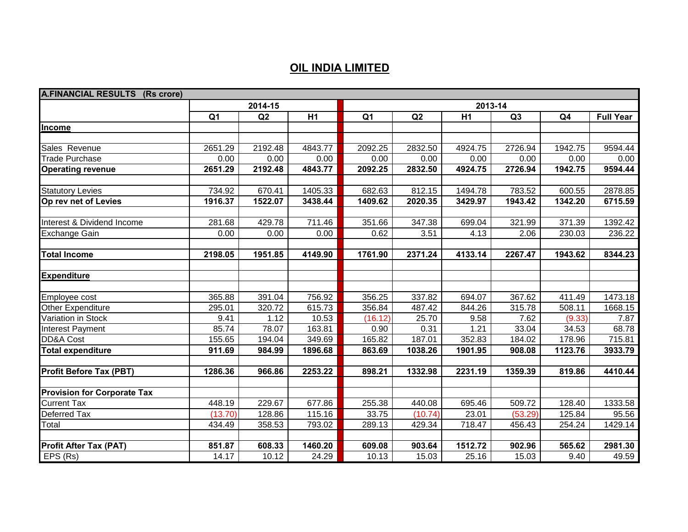## **OIL INDIA LIMITED**

| <b>A.FINANCIAL RESULTS (Rs crore)</b> |                |         |         |                |         |         |         |         |                  |
|---------------------------------------|----------------|---------|---------|----------------|---------|---------|---------|---------|------------------|
|                                       |                | 2014-15 |         | 2013-14        |         |         |         |         |                  |
|                                       | Q <sub>1</sub> | Q2      | H1      | Q <sub>1</sub> | Q2      | H1      | Q3      | Q4      | <b>Full Year</b> |
| Income                                |                |         |         |                |         |         |         |         |                  |
|                                       |                |         |         |                |         |         |         |         |                  |
| Sales Revenue                         | 2651.29        | 2192.48 | 4843.77 | 2092.25        | 2832.50 | 4924.75 | 2726.94 | 1942.75 | 9594.44          |
| <b>Trade Purchase</b>                 | 0.00           | 0.00    | 0.00    | 0.00           | 0.00    | 0.00    | 0.00    | 0.00    | 0.00             |
| <b>Operating revenue</b>              | 2651.29        | 2192.48 | 4843.77 | 2092.25        | 2832.50 | 4924.75 | 2726.94 | 1942.75 | 9594.44          |
|                                       |                |         |         |                |         |         |         |         |                  |
| <b>Statutory Levies</b>               | 734.92         | 670.41  | 1405.33 | 682.63         | 812.15  | 1494.78 | 783.52  | 600.55  | 2878.85          |
| Op rev net of Levies                  | 1916.37        | 1522.07 | 3438.44 | 1409.62        | 2020.35 | 3429.97 | 1943.42 | 1342.20 | 6715.59          |
|                                       |                |         |         |                |         |         |         |         |                  |
| Interest & Dividend Income            | 281.68         | 429.78  | 711.46  | 351.66         | 347.38  | 699.04  | 321.99  | 371.39  | 1392.42          |
| <b>Exchange Gain</b>                  | 0.00           | 0.00    | 0.00    | 0.62           | 3.51    | 4.13    | 2.06    | 230.03  | 236.22           |
|                                       |                |         |         |                |         |         |         |         |                  |
| <b>Total Income</b>                   | 2198.05        | 1951.85 | 4149.90 | 1761.90        | 2371.24 | 4133.14 | 2267.47 | 1943.62 | 8344.23          |
| <b>Expenditure</b>                    |                |         |         |                |         |         |         |         |                  |
|                                       |                |         |         |                |         |         |         |         |                  |
| Employee cost                         | 365.88         | 391.04  | 756.92  | 356.25         | 337.82  | 694.07  | 367.62  | 411.49  | 1473.18          |
| Other Expenditure                     | 295.01         | 320.72  | 615.73  | 356.84         | 487.42  | 844.26  | 315.78  | 508.11  | 1668.15          |
| Variation in Stock                    | 9.41           | 1.12    | 10.53   | (16.12)        | 25.70   | 9.58    | 7.62    | (9.33)  | 7.87             |
| Interest Payment                      | 85.74          | 78.07   | 163.81  | 0.90           | 0.31    | 1.21    | 33.04   | 34.53   | 68.78            |
| DD&A Cost                             | 155.65         | 194.04  | 349.69  | 165.82         | 187.01  | 352.83  | 184.02  | 178.96  | 715.81           |
| <b>Total expenditure</b>              | 911.69         | 984.99  | 1896.68 | 863.69         | 1038.26 | 1901.95 | 908.08  | 1123.76 | 3933.79          |
|                                       |                |         |         |                |         |         |         |         |                  |
| <b>Profit Before Tax (PBT)</b>        | 1286.36        | 966.86  | 2253.22 | 898.21         | 1332.98 | 2231.19 | 1359.39 | 819.86  | 4410.44          |
| <b>Provision for Corporate Tax</b>    |                |         |         |                |         |         |         |         |                  |
| <b>Current Tax</b>                    | 448.19         | 229.67  | 677.86  | 255.38         | 440.08  | 695.46  | 509.72  | 128.40  | 1333.58          |
| Deferred Tax                          | (13.70)        | 128.86  | 115.16  | 33.75          | (10.74) | 23.01   | (53.29) | 125.84  | 95.56            |
| Total                                 | 434.49         | 358.53  | 793.02  | 289.13         | 429.34  | 718.47  | 456.43  | 254.24  | 1429.14          |
|                                       |                |         |         |                |         |         |         |         |                  |
| <b>Profit After Tax (PAT)</b>         | 851.87         | 608.33  | 1460.20 | 609.08         | 903.64  | 1512.72 | 902.96  | 565.62  | 2981.30          |
| EPS (Rs)                              | 14.17          | 10.12   | 24.29   | 10.13          | 15.03   | 25.16   | 15.03   | 9.40    | 49.59            |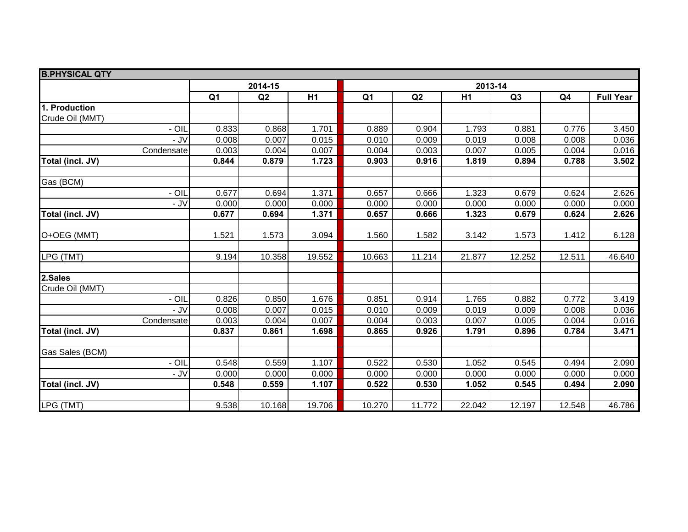| <b>B.PHYSICAL QTY</b> |                |         |        |                |         |                |        |        |                  |
|-----------------------|----------------|---------|--------|----------------|---------|----------------|--------|--------|------------------|
|                       |                | 2014-15 |        |                | 2013-14 |                |        |        |                  |
|                       | Q <sub>1</sub> | Q2      | H1     | Q <sub>1</sub> | Q2      | H <sub>1</sub> | Q3     | Q4     | <b>Full Year</b> |
| 1. Production         |                |         |        |                |         |                |        |        |                  |
| Crude Oil (MMT)       |                |         |        |                |         |                |        |        |                  |
| $-$ OIL               | 0.833          | 0.868   | 1.701  | 0.889          | 0.904   | 1.793          | 0.881  | 0.776  | 3.450            |
| - JV                  | 0.008          | 0.007   | 0.015  | 0.010          | 0.009   | 0.019          | 0.008  | 0.008  | 0.036            |
| Condensate            | 0.003          | 0.004   | 0.007  | 0.004          | 0.003   | 0.007          | 0.005  | 0.004  | 0.016            |
| Total (incl. JV)      | 0.844          | 0.879   | 1.723  | 0.903          | 0.916   | 1.819          | 0.894  | 0.788  | 3.502            |
| Gas (BCM)             |                |         |        |                |         |                |        |        |                  |
| - OIL                 | 0.677          | 0.694   | 1.371  | 0.657          | 0.666   | 1.323          | 0.679  | 0.624  | 2.626            |
| $-JV$                 | 0.000          | 0.000   | 0.000  | 0.000          | 0.000   | 0.000          | 0.000  | 0.000  | 0.000            |
| Total (incl. JV)      | 0.677          | 0.694   | 1.371  | 0.657          | 0.666   | 1.323          | 0.679  | 0.624  | 2.626            |
|                       |                |         |        |                |         |                |        |        |                  |
| O+OEG (MMT)           | 1.521          | 1.573   | 3.094  | 1.560          | 1.582   | 3.142          | 1.573  | 1.412  | 6.128            |
|                       |                |         |        |                |         |                |        |        |                  |
| LPG (TMT)             | 9.194          | 10.358  | 19.552 | 10.663         | 11.214  | 21.877         | 12.252 | 12.511 | 46.640           |
| 2.Sales               |                |         |        |                |         |                |        |        |                  |
| Crude Oil (MMT)       |                |         |        |                |         |                |        |        |                  |
| - OIL                 | 0.826          | 0.850   | 1.676  | 0.851          | 0.914   | 1.765          | 0.882  | 0.772  | 3.419            |
| - JV                  | 0.008          | 0.007   | 0.015  | 0.010          | 0.009   | 0.019          | 0.009  | 0.008  | 0.036            |
| Condensate            | 0.003          | 0.004   | 0.007  | 0.004          | 0.003   | 0.007          | 0.005  | 0.004  | 0.016            |
| Total (incl. JV)      | 0.837          | 0.861   | 1.698  | 0.865          | 0.926   | 1.791          | 0.896  | 0.784  | 3.471            |
| Gas Sales (BCM)       |                |         |        |                |         |                |        |        |                  |
| - OIL                 | 0.548          | 0.559   | 1.107  | 0.522          | 0.530   | 1.052          | 0.545  | 0.494  | 2.090            |
| - JV                  | 0.000          | 0.000   | 0.000  | 0.000          | 0.000   | 0.000          | 0.000  | 0.000  | 0.000            |
| Total (incl. JV)      | 0.548          | 0.559   | 1.107  | 0.522          | 0.530   | 1.052          | 0.545  | 0.494  | 2.090            |
|                       |                |         |        |                |         |                |        |        |                  |
| LPG (TMT)             | 9.538          | 10.168  | 19.706 | 10.270         | 11.772  | 22.042         | 12.197 | 12.548 | 46.786           |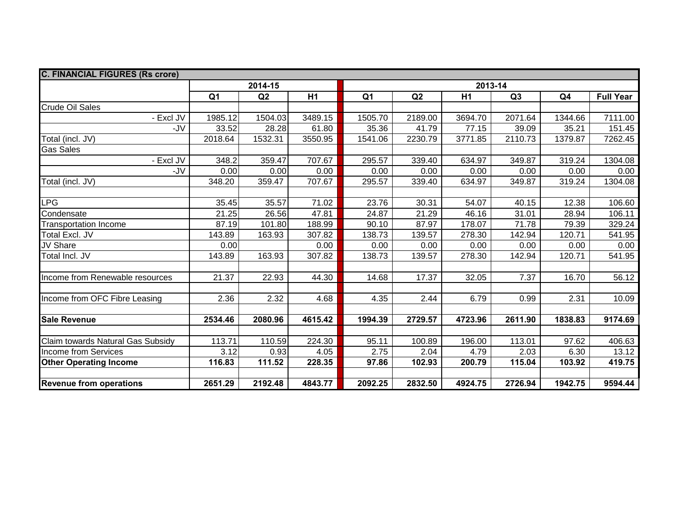| <b>C. FINANCIAL FIGURES (Rs crore)</b> |                |         |                |                |         |         |         |         |                  |  |
|----------------------------------------|----------------|---------|----------------|----------------|---------|---------|---------|---------|------------------|--|
|                                        | 2014-15        |         |                |                | 2013-14 |         |         |         |                  |  |
|                                        | Q <sub>1</sub> | Q2      | H <sub>1</sub> | Q <sub>1</sub> | Q2      | H1      | Q3      | Q4      | <b>Full Year</b> |  |
| <b>Crude Oil Sales</b>                 |                |         |                |                |         |         |         |         |                  |  |
| - Excl JV                              | 1985.12        | 1504.03 | 3489.15        | 1505.70        | 2189.00 | 3694.70 | 2071.64 | 1344.66 | 7111.00          |  |
| -JV                                    | 33.52          | 28.28   | 61.80          | 35.36          | 41.79   | 77.15   | 39.09   | 35.21   | 151.45           |  |
| Total (incl. JV)                       | 2018.64        | 1532.31 | 3550.95        | 1541.06        | 2230.79 | 3771.85 | 2110.73 | 1379.87 | 7262.45          |  |
| <b>Gas Sales</b>                       |                |         |                |                |         |         |         |         |                  |  |
| - Excl JV                              | 348.2          | 359.47  | 707.67         | 295.57         | 339.40  | 634.97  | 349.87  | 319.24  | 1304.08          |  |
| -J $V$                                 | 0.00           | 0.00    | 0.00           | 0.00           | 0.00    | 0.00    | 0.00    | 0.00    | 0.00             |  |
| Total (incl. JV)                       | 348.20         | 359.47  | 707.67         | 295.57         | 339.40  | 634.97  | 349.87  | 319.24  | 1304.08          |  |
|                                        |                |         |                |                |         |         |         |         |                  |  |
| LPG                                    | 35.45          | 35.57   | 71.02          | 23.76          | 30.31   | 54.07   | 40.15   | 12.38   | 106.60           |  |
| Condensate                             | 21.25          | 26.56   | 47.81          | 24.87          | 21.29   | 46.16   | 31.01   | 28.94   | 106.11           |  |
| <b>Transportation Income</b>           | 87.19          | 101.80  | 188.99         | 90.10          | 87.97   | 178.07  | 71.78   | 79.39   | 329.24           |  |
| Total Excl. JV                         | 143.89         | 163.93  | 307.82         | 138.73         | 139.57  | 278.30  | 142.94  | 120.71  | 541.95           |  |
| JV Share                               | 0.00           |         | 0.00           | 0.00           | 0.00    | 0.00    | 0.00    | 0.00    | 0.00             |  |
| Total Incl. JV                         | 143.89         | 163.93  | 307.82         | 138.73         | 139.57  | 278.30  | 142.94  | 120.71  | 541.95           |  |
|                                        |                |         |                |                |         |         |         |         |                  |  |
| Income from Renewable resources        | 21.37          | 22.93   | 44.30          | 14.68          | 17.37   | 32.05   | 7.37    | 16.70   | 56.12            |  |
|                                        |                |         |                |                |         |         |         |         |                  |  |
| Income from OFC Fibre Leasing          | 2.36           | 2.32    | 4.68           | 4.35           | 2.44    | 6.79    | 0.99    | 2.31    | 10.09            |  |
|                                        |                |         |                |                |         |         |         |         |                  |  |
| <b>Sale Revenue</b>                    | 2534.46        | 2080.96 | 4615.42        | 1994.39        | 2729.57 | 4723.96 | 2611.90 | 1838.83 | 9174.69          |  |
|                                        |                |         |                |                |         |         |         |         |                  |  |
| Claim towards Natural Gas Subsidy      | 113.71         | 110.59  | 224.30         | 95.11          | 100.89  | 196.00  | 113.01  | 97.62   | 406.63           |  |
| Income from Services                   | 3.12           | 0.93    | 4.05           | 2.75           | 2.04    | 4.79    | 2.03    | 6.30    | 13.12            |  |
| <b>Other Operating Income</b>          | 116.83         | 111.52  | 228.35         | 97.86          | 102.93  | 200.79  | 115.04  | 103.92  | 419.75           |  |
|                                        |                |         |                |                |         |         |         |         |                  |  |
| <b>Revenue from operations</b>         | 2651.29        | 2192.48 | 4843.77        | 2092.25        | 2832.50 | 4924.75 | 2726.94 | 1942.75 | 9594.44          |  |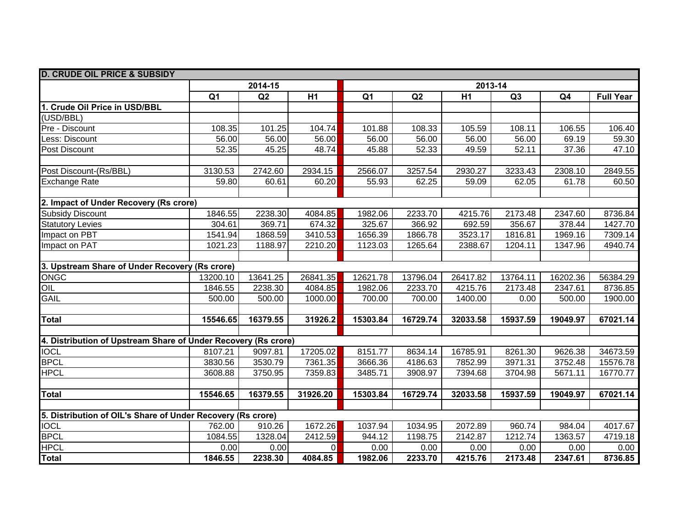| <b>D. CRUDE OIL PRICE &amp; SUBSIDY</b>                        |                |          |                |                |          |          |          |                |                  |
|----------------------------------------------------------------|----------------|----------|----------------|----------------|----------|----------|----------|----------------|------------------|
|                                                                |                | 2014-15  |                |                |          |          | 2013-14  |                |                  |
|                                                                | Q <sub>1</sub> | Q2       | H1             | Q <sub>1</sub> | Q2       | H1       | Q3       | Q <sub>4</sub> | <b>Full Year</b> |
| 1. Crude Oil Price in USD/BBL                                  |                |          |                |                |          |          |          |                |                  |
| (USD/BBL)                                                      |                |          |                |                |          |          |          |                |                  |
| Pre - Discount                                                 | 108.35         | 101.25   | 104.74         | 101.88         | 108.33   | 105.59   | 108.11   | 106.55         | 106.40           |
| Less: Discount                                                 | 56.00          | 56.00    | 56.00          | 56.00          | 56.00    | 56.00    | 56.00    | 69.19          | 59.30            |
| Post Discount                                                  | 52.35          | 45.25    | 48.74          | 45.88          | 52.33    | 49.59    | 52.11    | 37.36          | 47.10            |
|                                                                |                |          |                |                |          |          |          |                |                  |
| Post Discount-(Rs/BBL)                                         | 3130.53        | 2742.60  | 2934.15        | 2566.07        | 3257.54  | 2930.27  | 3233.43  | 2308.10        | 2849.55          |
| <b>Exchange Rate</b>                                           | 59.80          | 60.61    | 60.20          | 55.93          | 62.25    | 59.09    | 62.05    | 61.78          | 60.50            |
|                                                                |                |          |                |                |          |          |          |                |                  |
| 2. Impact of Under Recovery (Rs crore)                         |                |          |                |                |          |          |          |                |                  |
| <b>Subsidy Discount</b>                                        | 1846.55        | 2238.30  | 4084.85        | 1982.06        | 2233.70  | 4215.76  | 2173.48  | 2347.60        | 8736.84          |
| <b>Statutory Levies</b>                                        | 304.61         | 369.71   | 674.32         | 325.67         | 366.92   | 692.59   | 356.67   | 378.44         | 1427.70          |
| Impact on PBT                                                  | 1541.94        | 1868.59  | 3410.53        | 1656.39        | 1866.78  | 3523.17  | 1816.81  | 1969.16        | 7309.14          |
| Impact on PAT                                                  | 1021.23        | 1188.97  | 2210.20        | 1123.03        | 1265.64  | 2388.67  | 1204.11  | 1347.96        | 4940.74          |
|                                                                |                |          |                |                |          |          |          |                |                  |
| 3. Upstream Share of Under Recovery (Rs crore)                 |                |          |                |                |          |          |          |                |                  |
| <b>ONGC</b>                                                    | 13200.10       | 13641.25 | 26841.35       | 12621.78       | 13796.04 | 26417.82 | 13764.11 | 16202.36       | 56384.29         |
| OIL                                                            | 1846.55        | 2238.30  | 4084.85        | 1982.06        | 2233.70  | 4215.76  | 2173.48  | 2347.61        | 8736.85          |
| <b>GAIL</b>                                                    | 500.00         | 500.00   | 1000.00        | 700.00         | 700.00   | 1400.00  | 0.00     | 500.00         | 1900.00          |
|                                                                |                |          |                |                |          |          |          |                |                  |
| Total                                                          | 15546.65       | 16379.55 | 31926.2        | 15303.84       | 16729.74 | 32033.58 | 15937.59 | 19049.97       | 67021.14         |
|                                                                |                |          |                |                |          |          |          |                |                  |
| 4. Distribution of Upstream Share of Under Recovery (Rs crore) |                |          |                |                |          |          |          |                |                  |
| <b>IOCL</b>                                                    | 8107.21        | 9097.81  | 17205.02       | 8151.77        | 8634.14  | 16785.91 | 8261.30  | 9626.38        | 34673.59         |
| <b>BPCL</b>                                                    | 3830.56        | 3530.79  | 7361.35        | 3666.36        | 4186.63  | 7852.99  | 3971.31  | 3752.48        | 15576.78         |
| <b>HPCL</b>                                                    | 3608.88        | 3750.95  | 7359.83        | 3485.71        | 3908.97  | 7394.68  | 3704.98  | 5671.11        | 16770.77         |
|                                                                |                |          |                |                |          |          |          |                |                  |
| <b>Total</b>                                                   | 15546.65       | 16379.55 | 31926.20       | 15303.84       | 16729.74 | 32033.58 | 15937.59 | 19049.97       | 67021.14         |
|                                                                |                |          |                |                |          |          |          |                |                  |
| 5. Distribution of OIL's Share of Under Recovery (Rs crore)    |                |          |                |                |          |          |          |                |                  |
| <b>TOCL</b>                                                    | 762.00         | 910.26   | 1672.26        | 1037.94        | 1034.95  | 2072.89  | 960.74   | 984.04         | 4017.67          |
| <b>BPCL</b>                                                    | 1084.55        | 1328.04  | 2412.59        | 944.12         | 1198.75  | 2142.87  | 1212.74  | 1363.57        | 4719.18          |
| <b>HPCL</b>                                                    | 0.00           | 0.00     | $\overline{0}$ | 0.00           | 0.00     | 0.00     | 0.00     | 0.00           | 0.00             |
| Total                                                          | 1846.55        | 2238.30  | 4084.85        | 1982.06        | 2233.70  | 4215.76  | 2173.48  | 2347.61        | 8736.85          |